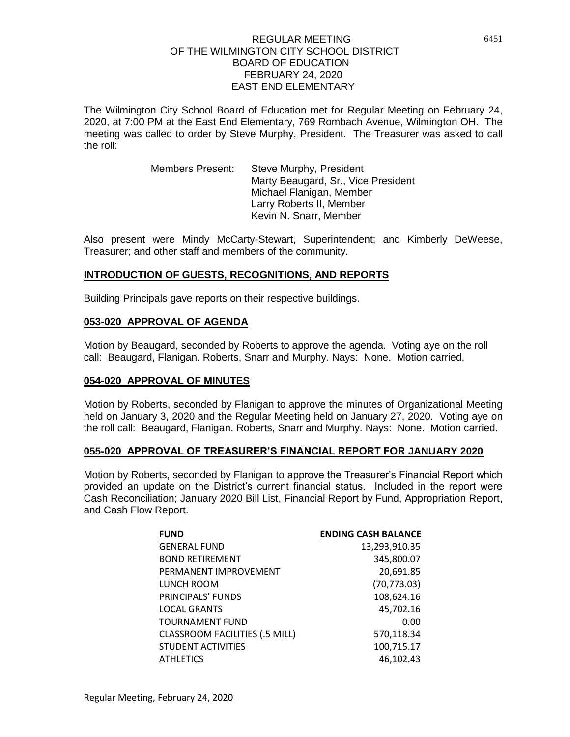The Wilmington City School Board of Education met for Regular Meeting on February 24, 2020, at 7:00 PM at the East End Elementary, 769 Rombach Avenue, Wilmington OH. The meeting was called to order by Steve Murphy, President. The Treasurer was asked to call the roll:

> Members Present: Steve Murphy, President Marty Beaugard, Sr., Vice President Michael Flanigan, Member Larry Roberts II, Member Kevin N. Snarr, Member

Also present were Mindy McCarty-Stewart, Superintendent; and Kimberly DeWeese, Treasurer; and other staff and members of the community.

# **INTRODUCTION OF GUESTS, RECOGNITIONS, AND REPORTS**

Building Principals gave reports on their respective buildings.

# **053-020 APPROVAL OF AGENDA**

Motion by Beaugard, seconded by Roberts to approve the agenda. Voting aye on the roll call: Beaugard, Flanigan. Roberts, Snarr and Murphy. Nays: None. Motion carried.

## **054-020 APPROVAL OF MINUTES**

Motion by Roberts, seconded by Flanigan to approve the minutes of Organizational Meeting held on January 3, 2020 and the Regular Meeting held on January 27, 2020. Voting aye on the roll call: Beaugard, Flanigan. Roberts, Snarr and Murphy. Nays: None. Motion carried.

## **055-020 APPROVAL OF TREASURER'S FINANCIAL REPORT FOR JANUARY 2020**

Motion by Roberts, seconded by Flanigan to approve the Treasurer's Financial Report which provided an update on the District's current financial status. Included in the report were Cash Reconciliation; January 2020 Bill List, Financial Report by Fund, Appropriation Report, and Cash Flow Report.

| <b>FUND</b>                           | <b>ENDING CASH BALANCE</b> |
|---------------------------------------|----------------------------|
| <b>GENERAL FUND</b>                   | 13,293,910.35              |
| <b>BOND RETIREMENT</b>                | 345,800.07                 |
| PERMANENT IMPROVEMENT                 | 20,691.85                  |
| LUNCH ROOM                            | (70, 773.03)               |
| PRINCIPALS' FUNDS                     | 108,624.16                 |
| <b>LOCAL GRANTS</b>                   | 45,702.16                  |
| <b>TOURNAMENT FUND</b>                | 0.00                       |
| <b>CLASSROOM FACILITIES (.5 MILL)</b> | 570,118.34                 |
| <b>STUDENT ACTIVITIES</b>             | 100,715.17                 |
| <b>ATHLETICS</b>                      | 46,102.43                  |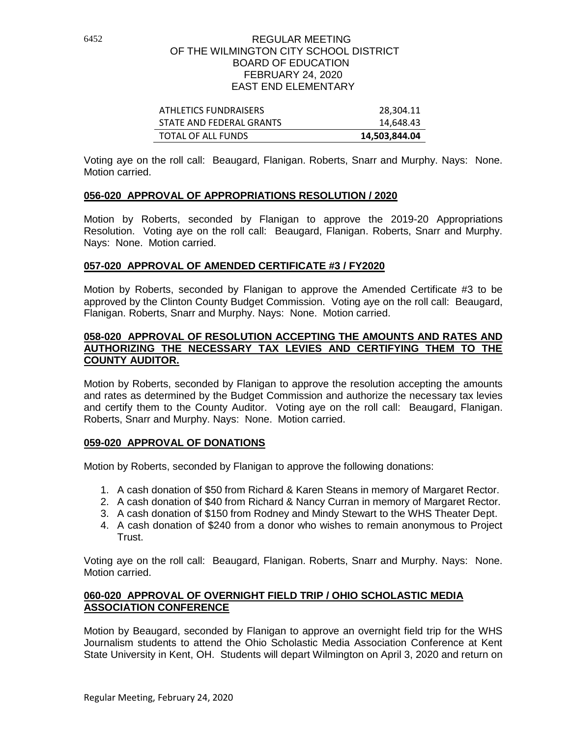| ATHLETICS FUNDRAISERS    | 28.304.11     |
|--------------------------|---------------|
| STATE AND FEDERAL GRANTS | 14,648.43     |
| TOTAL OF ALL FUNDS       | 14,503,844.04 |

Voting aye on the roll call: Beaugard, Flanigan. Roberts, Snarr and Murphy. Nays: None. Motion carried.

# **056-020 APPROVAL OF APPROPRIATIONS RESOLUTION / 2020**

Motion by Roberts, seconded by Flanigan to approve the 2019-20 Appropriations Resolution. Voting aye on the roll call: Beaugard, Flanigan. Roberts, Snarr and Murphy. Nays: None. Motion carried.

## **057-020 APPROVAL OF AMENDED CERTIFICATE #3 / FY2020**

Motion by Roberts, seconded by Flanigan to approve the Amended Certificate #3 to be approved by the Clinton County Budget Commission. Voting aye on the roll call: Beaugard, Flanigan. Roberts, Snarr and Murphy. Nays: None. Motion carried.

#### **058-020 APPROVAL OF RESOLUTION ACCEPTING THE AMOUNTS AND RATES AND AUTHORIZING THE NECESSARY TAX LEVIES AND CERTIFYING THEM TO THE COUNTY AUDITOR.**

Motion by Roberts, seconded by Flanigan to approve the resolution accepting the amounts and rates as determined by the Budget Commission and authorize the necessary tax levies and certify them to the County Auditor. Voting aye on the roll call: Beaugard, Flanigan. Roberts, Snarr and Murphy. Nays: None. Motion carried.

## **059-020 APPROVAL OF DONATIONS**

Motion by Roberts, seconded by Flanigan to approve the following donations:

- 1. A cash donation of \$50 from Richard & Karen Steans in memory of Margaret Rector.
- 2. A cash donation of \$40 from Richard & Nancy Curran in memory of Margaret Rector.
- 3. A cash donation of \$150 from Rodney and Mindy Stewart to the WHS Theater Dept.
- 4. A cash donation of \$240 from a donor who wishes to remain anonymous to Project Trust.

Voting aye on the roll call: Beaugard, Flanigan. Roberts, Snarr and Murphy. Nays: None. Motion carried.

# **060-020 APPROVAL OF OVERNIGHT FIELD TRIP / OHIO SCHOLASTIC MEDIA ASSOCIATION CONFERENCE**

Motion by Beaugard, seconded by Flanigan to approve an overnight field trip for the WHS Journalism students to attend the Ohio Scholastic Media Association Conference at Kent State University in Kent, OH. Students will depart Wilmington on April 3, 2020 and return on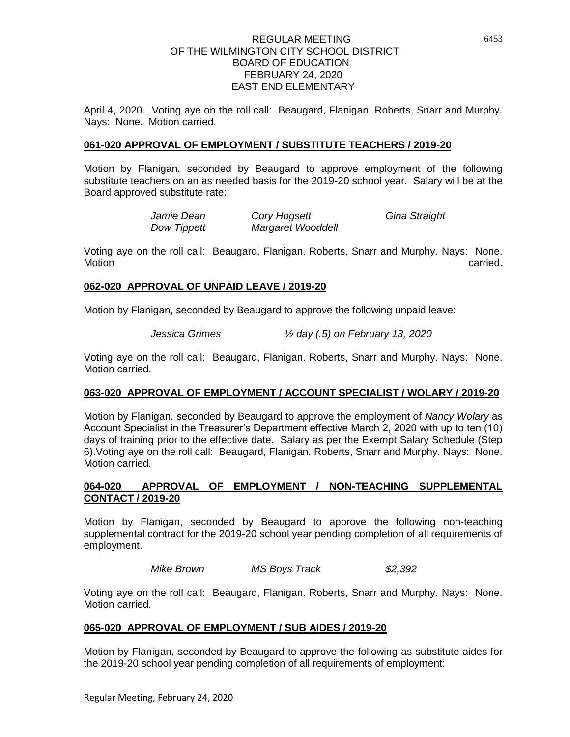April 4, 2020. Voting aye on the roll call: Beaugard, Flanigan. Roberts, Snarr and Murphy. Nays: None. Motion carried.

# **061-020 APPROVAL OF EMPLOYMENT / SUBSTITUTE TEACHERS / 2019-20**

Motion by Flanigan, seconded by Beaugard to approve employment of the following substitute teachers on an as needed basis for the 2019-20 school year. Salary will be at the Board approved substitute rate:

| Jamie Dean  | Cory Hogsett      | Gina Straight |
|-------------|-------------------|---------------|
| Dow Tippett | Margaret Wooddell |               |

Voting aye on the roll call: Beaugard, Flanigan. Roberts, Snarr and Murphy. Nays: None. Motion **carried.** 

# **062-020 APPROVAL OF UNPAID LEAVE / 2019-20**

Motion by Flanigan, seconded by Beaugard to approve the following unpaid leave:

*Jessica Grimes ½ day (.5) on February 13, 2020*

Voting aye on the roll call: Beaugard, Flanigan. Roberts, Snarr and Murphy. Nays: None. Motion carried.

# **063-020 APPROVAL OF EMPLOYMENT / ACCOUNT SPECIALIST / WOLARY / 2019-20**

Motion by Flanigan, seconded by Beaugard to approve the employment of *Nancy Wolary* as Account Specialist in the Treasurer's Department effective March 2, 2020 with up to ten (10) days of training prior to the effective date. Salary as per the Exempt Salary Schedule (Step 6).Voting aye on the roll call: Beaugard, Flanigan. Roberts, Snarr and Murphy. Nays: None. Motion carried.

# **064-020 APPROVAL OF EMPLOYMENT / NON-TEACHING SUPPLEMENTAL CONTACT / 2019-20**

Motion by Flanigan, seconded by Beaugard to approve the following non-teaching supplemental contract for the 2019-20 school year pending completion of all requirements of employment.

*Mike Brown MS Boys Track \$2,392*

Voting aye on the roll call: Beaugard, Flanigan. Roberts, Snarr and Murphy. Nays: None. Motion carried.

# **065-020 APPROVAL OF EMPLOYMENT / SUB AIDES / 2019-20**

Motion by Flanigan, seconded by Beaugard to approve the following as substitute aides for the 2019-20 school year pending completion of all requirements of employment: